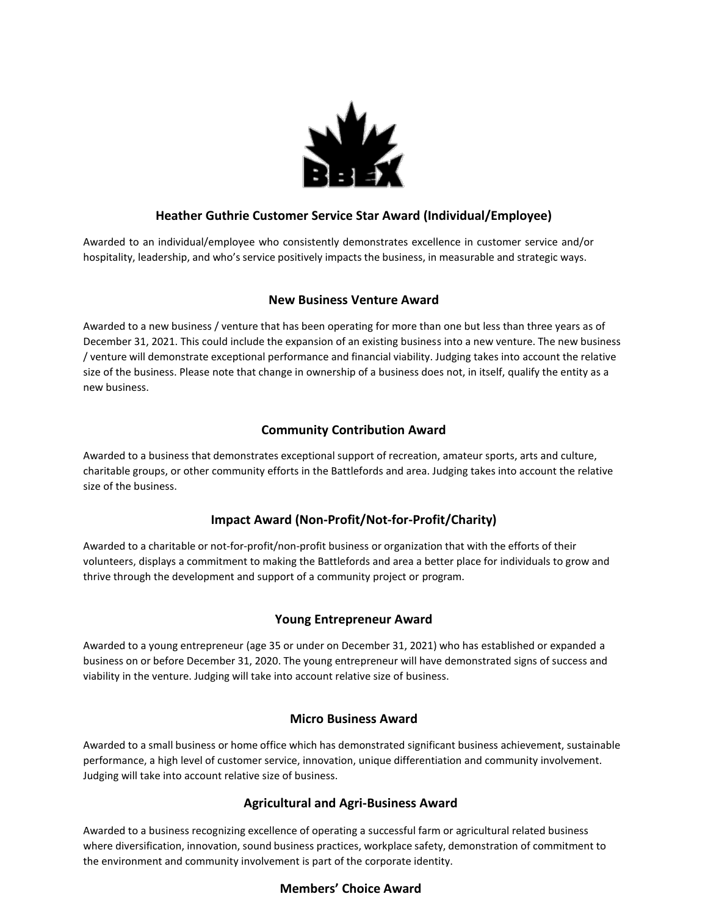

## **Heather Guthrie Customer Service Star Award (Individual/Employee)**

Awarded to an individual/employee who consistently demonstrates excellence in customer service and/or hospitality, leadership, and who's service positively impacts the business, in measurable and strategic ways.

#### **New Business Venture Award**

Awarded to a new business / venture that has been operating for more than one but less than three years as of December 31, 2021. This could include the expansion of an existing business into a new venture. The new business / venture will demonstrate exceptional performance and financial viability. Judging takes into account the relative size of the business. Please note that change in ownership of a business does not, in itself, qualify the entity as a new business.

### **Community Contribution Award**

Awarded to a business that demonstrates exceptional support of recreation, amateur sports, arts and culture, charitable groups, or other community efforts in the Battlefords and area. Judging takes into account the relative size of the business.

# **Impact Award (Non-Profit/Not-for-Profit/Charity)**

Awarded to a charitable or not-for-profit/non-profit business or organization that with the efforts of their volunteers, displays a commitment to making the Battlefords and area a better place for individuals to grow and thrive through the development and support of a community project or program.

#### **Young Entrepreneur Award**

Awarded to a young entrepreneur (age 35 or under on December 31, 2021) who has established or expanded a business on or before December 31, 2020. The young entrepreneur will have demonstrated signs of success and viability in the venture. Judging will take into account relative size of business.

#### **Micro Business Award**

Awarded to a small business or home office which has demonstrated significant business achievement, sustainable performance, a high level of customer service, innovation, unique differentiation and community involvement. Judging will take into account relative size of business.

#### **Agricultural and Agri-Business Award**

Awarded to a business recognizing excellence of operating a successful farm or agricultural related business where diversification, innovation, sound business practices, workplace safety, demonstration of commitment to the environment and community involvement is part of the corporate identity.

#### **Members' Choice Award**